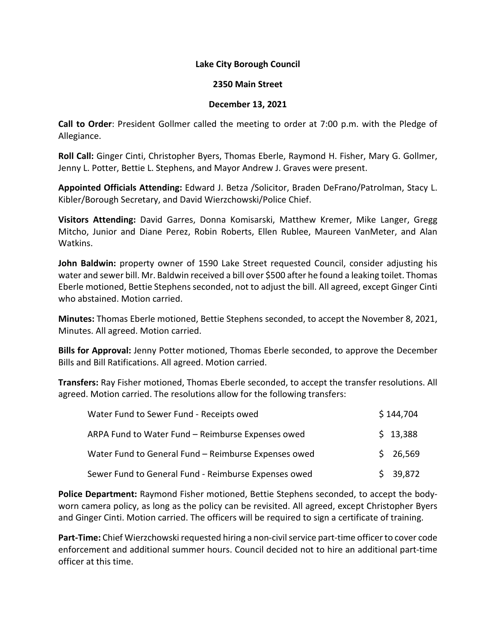## **Lake City Borough Council**

## **2350 Main Street**

## **December 13, 2021**

**Call to Order**: President Gollmer called the meeting to order at 7:00 p.m. with the Pledge of Allegiance.

**Roll Call:** Ginger Cinti, Christopher Byers, Thomas Eberle, Raymond H. Fisher, Mary G. Gollmer, Jenny L. Potter, Bettie L. Stephens, and Mayor Andrew J. Graves were present.

**Appointed Officials Attending:** Edward J. Betza /Solicitor, Braden DeFrano/Patrolman, Stacy L. Kibler/Borough Secretary, and David Wierzchowski/Police Chief.

**Visitors Attending:** David Garres, Donna Komisarski, Matthew Kremer, Mike Langer, Gregg Mitcho, Junior and Diane Perez, Robin Roberts, Ellen Rublee, Maureen VanMeter, and Alan Watkins.

**John Baldwin:** property owner of 1590 Lake Street requested Council, consider adjusting his water and sewer bill. Mr. Baldwin received a bill over \$500 after he found a leaking toilet. Thomas Eberle motioned, Bettie Stephens seconded, not to adjust the bill. All agreed, except Ginger Cinti who abstained. Motion carried.

**Minutes:** Thomas Eberle motioned, Bettie Stephens seconded, to accept the November 8, 2021, Minutes. All agreed. Motion carried.

**Bills for Approval:** Jenny Potter motioned, Thomas Eberle seconded, to approve the December Bills and Bill Ratifications. All agreed. Motion carried.

**Transfers:** Ray Fisher motioned, Thomas Eberle seconded, to accept the transfer resolutions. All agreed. Motion carried. The resolutions allow for the following transfers:

| Water Fund to Sewer Fund - Receipts owed             | \$144,704 |
|------------------------------------------------------|-----------|
| ARPA Fund to Water Fund - Reimburse Expenses owed    | \$13,388  |
| Water Fund to General Fund - Reimburse Expenses owed | \$26,569  |
| Sewer Fund to General Fund - Reimburse Expenses owed | \$39,872  |

**Police Department:** Raymond Fisher motioned, Bettie Stephens seconded, to accept the bodyworn camera policy, as long as the policy can be revisited. All agreed, except Christopher Byers and Ginger Cinti. Motion carried. The officers will be required to sign a certificate of training.

**Part-Time:** Chief Wierzchowski requested hiring a non-civil service part-time officer to cover code enforcement and additional summer hours. Council decided not to hire an additional part-time officer at this time.